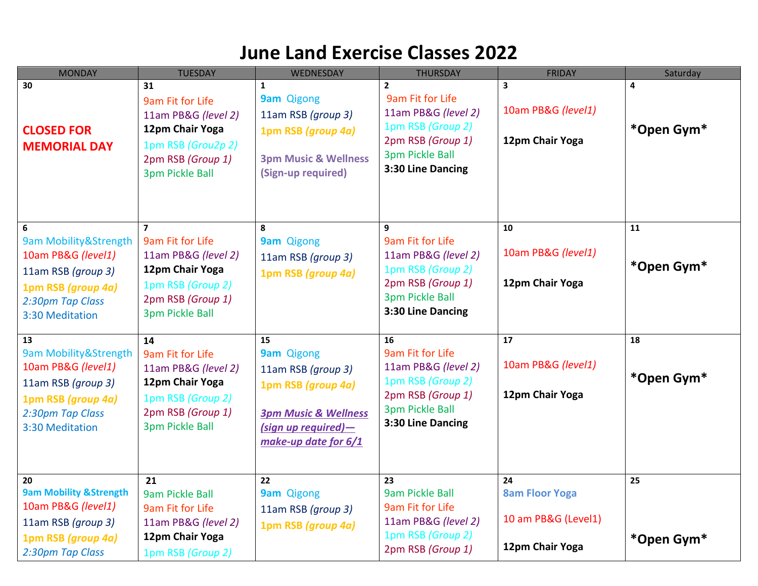# **June Land Exercise Classes 2022**

| <b>MONDAY</b>                                                                                                                        | <b>TUESDAY</b>                                                                                                                                   | WEDNESDAY                                                                                                                                                | <b>THURSDAY</b>                                                                                                                                  | <b>FRIDAY</b>                                                         | Saturday         |
|--------------------------------------------------------------------------------------------------------------------------------------|--------------------------------------------------------------------------------------------------------------------------------------------------|----------------------------------------------------------------------------------------------------------------------------------------------------------|--------------------------------------------------------------------------------------------------------------------------------------------------|-----------------------------------------------------------------------|------------------|
| 30<br><b>CLOSED FOR</b><br><b>MEMORIAL DAY</b>                                                                                       | 31<br>9am Fit for Life<br>11am PB&G (level 2)<br>12pm Chair Yoga<br>1pm RSB (Grou2p 2)<br>2pm RSB (Group 1)<br><b>3pm Pickle Ball</b>            | $\mathbf{1}$<br><b>9am Qigong</b><br>11am RSB (group 3)<br>1pm RSB (group 4a)<br><b>3pm Music &amp; Wellness</b><br>(Sign-up required)                   | $\mathbf{2}$<br>9am Fit for Life<br>11am PB&G (level 2)<br>1pm RSB (Group 2)<br>2pm RSB (Group 1)<br><b>3pm Pickle Ball</b><br>3:30 Line Dancing | $\overline{\mathbf{3}}$<br>10am PB&G (level1)<br>12pm Chair Yoga      | 4<br>*Open Gym*  |
| 6<br>9am Mobility&Strength<br>10am PB&G (level1)<br>11am RSB (group 3)<br>1pm RSB (group 4a)<br>2:30pm Tap Class<br>3:30 Meditation  | $\overline{7}$<br>9am Fit for Life<br>11am PB&G (level 2)<br>12pm Chair Yoga<br>1pm RSB (Group 2)<br>2pm RSB (Group 1)<br><b>3pm Pickle Ball</b> | 8<br><b>9am</b> Qigong<br>11am RSB (group 3)<br>1pm RSB (group 4a)                                                                                       | 9<br>9am Fit for Life<br>11am PB&G (level 2)<br>1pm RSB (Group 2)<br>2pm RSB (Group 1)<br>3pm Pickle Ball<br>3:30 Line Dancing                   | 10<br>10am PB&G (level1)<br>12pm Chair Yoga                           | 11<br>*Open Gym* |
| 13<br>9am Mobility&Strength<br>10am PB&G (level1)<br>11am RSB (group 3)<br>1pm RSB (group 4a)<br>2:30pm Tap Class<br>3:30 Meditation | 14<br>9am Fit for Life<br>11am PB&G (level 2)<br>12pm Chair Yoga<br>1pm RSB (Group 2)<br>2pm RSB (Group 1)<br><b>3pm Pickle Ball</b>             | 15<br><b>9am Qigong</b><br>11am RSB (group 3)<br>1pm RSB (group 4a)<br><b>3pm Music &amp; Wellness</b><br>$(sign up required)$ -<br>make-up date for 6/1 | 16<br>9am Fit for Life<br>11am PB&G (level 2)<br>1pm RSB (Group 2)<br>2pm RSB (Group 1)<br><b>3pm Pickle Ball</b><br>3:30 Line Dancing           | 17<br>10am PB&G (level1)<br>12pm Chair Yoga                           | 18<br>*Open Gym* |
| 20<br><b>9am Mobility &amp; Strength</b><br>10am PB&G (level1)<br>11am RSB (group 3)<br>1pm RSB (group 4a)<br>2:30pm Tap Class       | 21<br>9am Pickle Ball<br>9am Fit for Life<br>11am PB&G (level 2)<br>12pm Chair Yoga<br>1pm RSB (Group 2)                                         | $\overline{22}$<br>9am Qigong<br>11am RSB (group 3)<br>1pm RSB (group 4a)                                                                                | 23<br>9am Pickle Ball<br>9am Fit for Life<br>11am PB&G (level 2)<br>1pm RSB (Group 2)<br>2pm RSB (Group 1)                                       | 24<br><b>8am Floor Yoga</b><br>10 am PB&G (Level1)<br>12pm Chair Yoga | 25<br>*Open Gym* |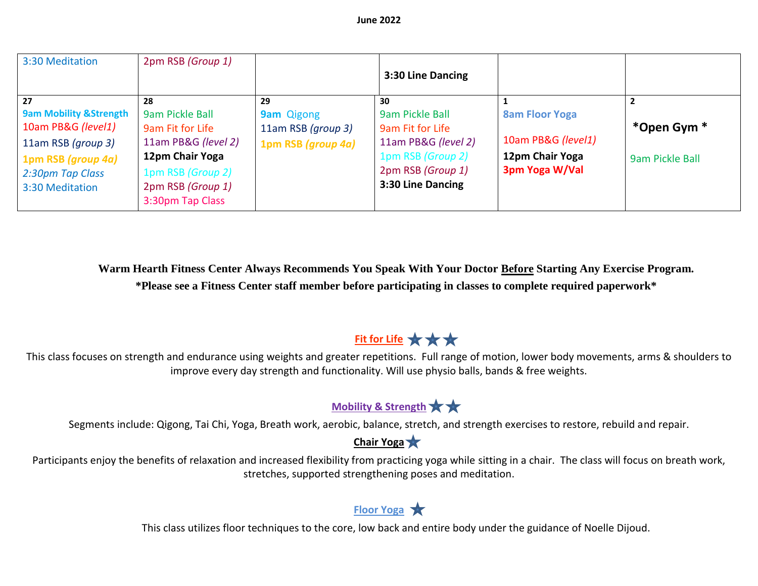| 3:30 Meditation                                                                                                                                   | 2pm RSB (Group 1)                                                                                                                                 |                                                                     | 3:30 Line Dancing                                                                                                               |                                                                                  |                                |
|---------------------------------------------------------------------------------------------------------------------------------------------------|---------------------------------------------------------------------------------------------------------------------------------------------------|---------------------------------------------------------------------|---------------------------------------------------------------------------------------------------------------------------------|----------------------------------------------------------------------------------|--------------------------------|
| 27<br><b>9am Mobility &amp; Strength</b><br>10am PB&G (level1)<br>11am RSB (group 3)<br>1pm RSB (group 4a)<br>2:30pm Tap Class<br>3:30 Meditation | 28<br>9am Pickle Ball<br>9am Fit for Life<br>11am PB&G (level 2)<br>12pm Chair Yoga<br>1pm RSB (Group 2)<br>2pm RSB (Group 1)<br>3:30pm Tap Class | 29<br><b>9am</b> Qigong<br>11am RSB (group 3)<br>1pm RSB (group 4a) | 30<br>9am Pickle Ball<br>9am Fit for Life<br>11am PB&G (level 2)<br>1pm RSB (Group 2)<br>2pm RSB (Group 1)<br>3:30 Line Dancing | <b>8am Floor Yoga</b><br>10am PB&G (level1)<br>12pm Chair Yoga<br>3pm Yoga W/Val | *Open Gym *<br>9am Pickle Ball |

**Warm Hearth Fitness Center Always Recommends You Speak With Your Doctor Before Starting Any Exercise Program. \*Please see a Fitness Center staff member before participating in classes to complete required paperwork\***

## **Fit for Life ★★★**

This class focuses on strength and endurance using weights and greater repetitions. Full range of motion, lower body movements, arms & shoulders to improve every day strength and functionality. Will use physio balls, bands & free weights.

## **Mobility & Strength**

Segments include: Qigong, Tai Chi, Yoga, Breath work, aerobic, balance, stretch, and strength exercises to restore, rebuild and repair.

#### **Chair Yoga**

Participants enjoy the benefits of relaxation and increased flexibility from practicing yoga while sitting in a chair. The class will focus on breath work, stretches, supported strengthening poses and meditation.

### **Floor Yoga**

This class utilizes floor techniques to the core, low back and entire body under the guidance of Noelle Dijoud.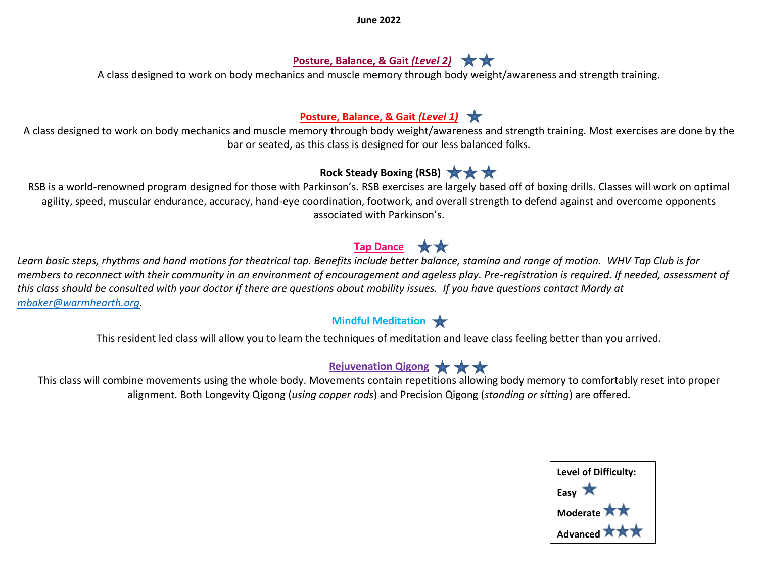**June 2022**

#### **Posture, Balance, & Gait** *(Level 2)*

A class designed to work on body mechanics and muscle memory through body weight/awareness and strength training.

#### **Posture, Balance, & Gait** *(Level 1)*

A class designed to work on body mechanics and muscle memory through body weight/awareness and strength training. Most exercises are done by the bar or seated, as this class is designed for our less balanced folks.

### **Rock Steady Boxing (RSB)**

RSB is a world-renowned program designed for those with Parkinson's. RSB exercises are largely based off of boxing drills. Classes will work on optimal agility, speed, muscular endurance, accuracy, hand-eye coordination, footwork, and overall strength to defend against and overcome opponents associated with Parkinson's.

## **Tap Dance** ★★

*Learn basic steps, rhythms and hand motions for theatrical tap. Benefits include better balance, stamina and range of motion. WHV Tap Club is for members to reconnect with their community in an environment of encouragement and ageless play. Pre-registration is required. If needed, assessment of this class should be consulted with your doctor if there are questions about mobility issues. If you have questions contact Mardy at [mbaker@warmhearth.org.](mailto:mbaker@warmhearth.org)*

### **Mindful Meditation**

This resident led class will allow you to learn the techniques of meditation and leave class feeling better than you arrived.

## **Rejuvenation Qigong**  $\star \star \star$

This class will combine movements using the whole body. Movements contain repetitions allowing body memory to comfortably reset into proper alignment. Both Longevity Qigong (*using copper rods*) and Precision Qigong (*standing or sitting*) are offered.